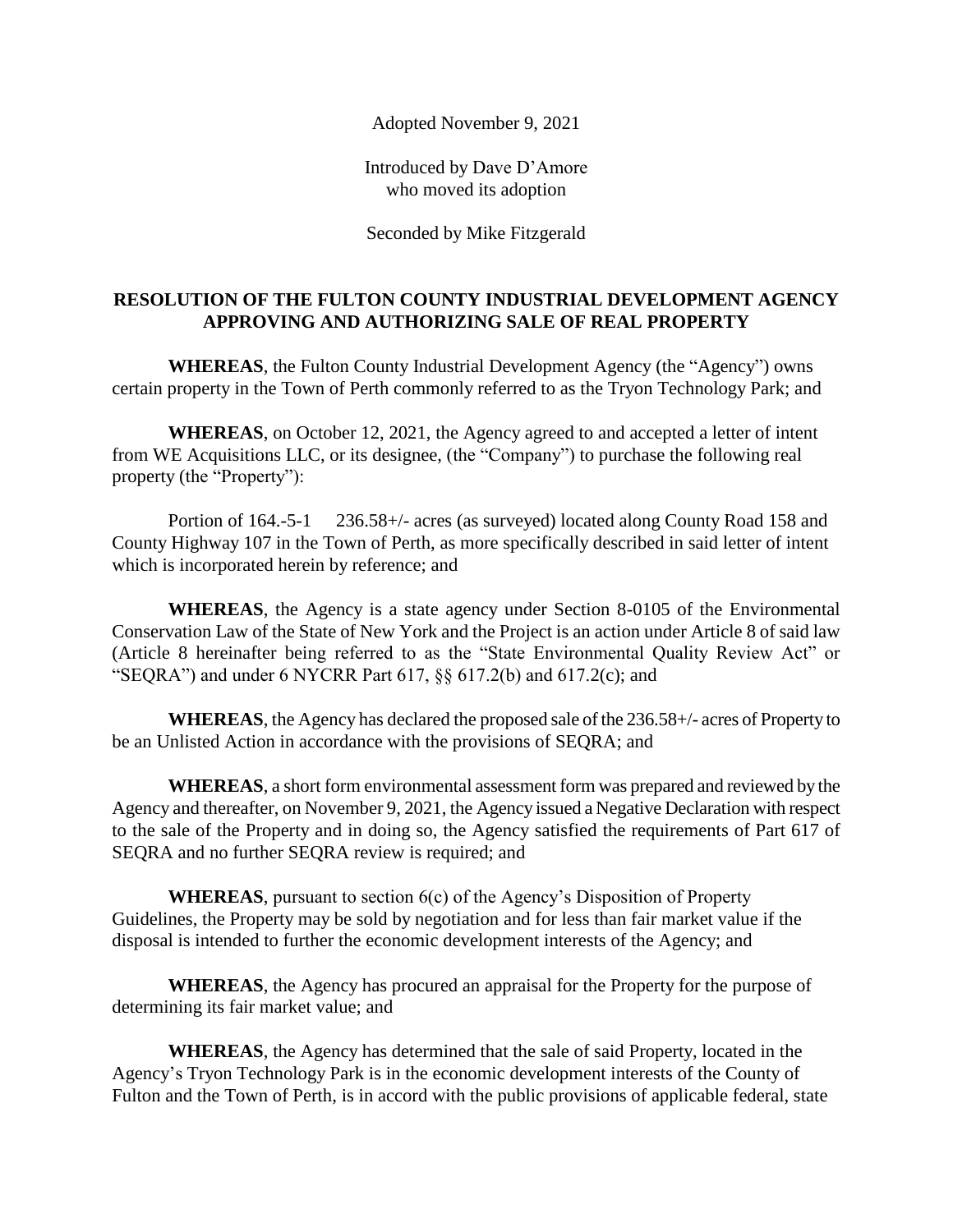Adopted November 9, 2021

Introduced by Dave D'Amore who moved its adoption

Seconded by Mike Fitzgerald

## **RESOLUTION OF THE FULTON COUNTY INDUSTRIAL DEVELOPMENT AGENCY APPROVING AND AUTHORIZING SALE OF REAL PROPERTY**

**WHEREAS**, the Fulton County Industrial Development Agency (the "Agency") owns certain property in the Town of Perth commonly referred to as the Tryon Technology Park; and

**WHEREAS**, on October 12, 2021, the Agency agreed to and accepted a letter of intent from WE Acquisitions LLC, or its designee, (the "Company") to purchase the following real property (the "Property"):

Portion of 164.-5-1 236.58+/- acres (as surveyed) located along County Road 158 and County Highway 107 in the Town of Perth, as more specifically described in said letter of intent which is incorporated herein by reference; and

**WHEREAS**, the Agency is a state agency under Section 8-0105 of the Environmental Conservation Law of the State of New York and the Project is an action under Article 8 of said law (Article 8 hereinafter being referred to as the "State Environmental Quality Review Act" or "SEQRA") and under 6 NYCRR Part  $617$ ,  $\S$  $\S$   $617.2(b)$  and  $617.2(c)$ ; and

**WHEREAS**, the Agency has declared the proposed sale of the 236.58+/- acres of Property to be an Unlisted Action in accordance with the provisions of SEQRA; and

**WHEREAS**, a short form environmental assessment form was prepared and reviewed by the Agency and thereafter, on November 9, 2021, the Agency issued a Negative Declaration with respect to the sale of the Property and in doing so, the Agency satisfied the requirements of Part 617 of SEQRA and no further SEQRA review is required; and

**WHEREAS**, pursuant to section 6(c) of the Agency's Disposition of Property Guidelines, the Property may be sold by negotiation and for less than fair market value if the disposal is intended to further the economic development interests of the Agency; and

**WHEREAS**, the Agency has procured an appraisal for the Property for the purpose of determining its fair market value; and

**WHEREAS**, the Agency has determined that the sale of said Property, located in the Agency's Tryon Technology Park is in the economic development interests of the County of Fulton and the Town of Perth, is in accord with the public provisions of applicable federal, state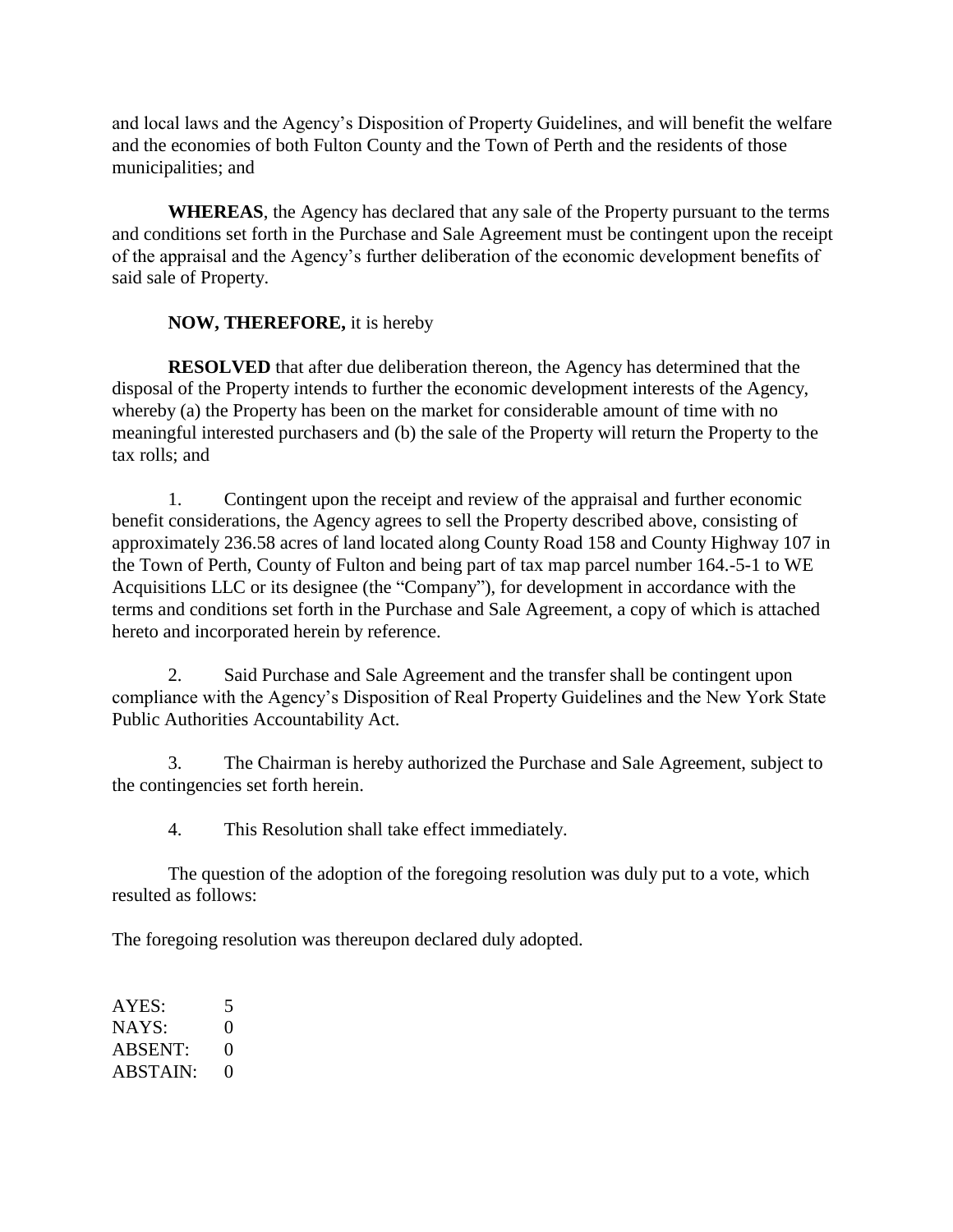and local laws and the Agency's Disposition of Property Guidelines, and will benefit the welfare and the economies of both Fulton County and the Town of Perth and the residents of those municipalities; and

**WHEREAS**, the Agency has declared that any sale of the Property pursuant to the terms and conditions set forth in the Purchase and Sale Agreement must be contingent upon the receipt of the appraisal and the Agency's further deliberation of the economic development benefits of said sale of Property.

## **NOW, THEREFORE,** it is hereby

**RESOLVED** that after due deliberation thereon, the Agency has determined that the disposal of the Property intends to further the economic development interests of the Agency, whereby (a) the Property has been on the market for considerable amount of time with no meaningful interested purchasers and (b) the sale of the Property will return the Property to the tax rolls; and

1. Contingent upon the receipt and review of the appraisal and further economic benefit considerations, the Agency agrees to sell the Property described above, consisting of approximately 236.58 acres of land located along County Road 158 and County Highway 107 in the Town of Perth, County of Fulton and being part of tax map parcel number 164.-5-1 to WE Acquisitions LLC or its designee (the "Company"), for development in accordance with the terms and conditions set forth in the Purchase and Sale Agreement, a copy of which is attached hereto and incorporated herein by reference.

2. Said Purchase and Sale Agreement and the transfer shall be contingent upon compliance with the Agency's Disposition of Real Property Guidelines and the New York State Public Authorities Accountability Act.

3. The Chairman is hereby authorized the Purchase and Sale Agreement, subject to the contingencies set forth herein.

4. This Resolution shall take effect immediately.

The question of the adoption of the foregoing resolution was duly put to a vote, which resulted as follows:

The foregoing resolution was thereupon declared duly adopted.

AYES: 5  $NAYS: 0$ ABSENT: 0  $ABSTAIN: 0$